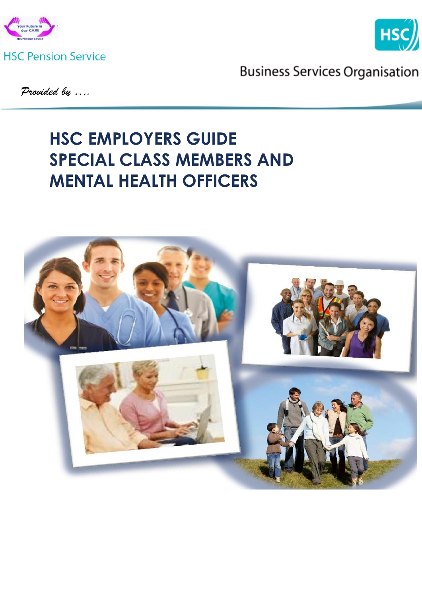



**Business Services Organisation** 

*Provided by ….* 

# **HSC EMPLOYERS GUIDE SPECIAL CLASS MEMBERS AND MENTAL HEALTH OFFICERS**

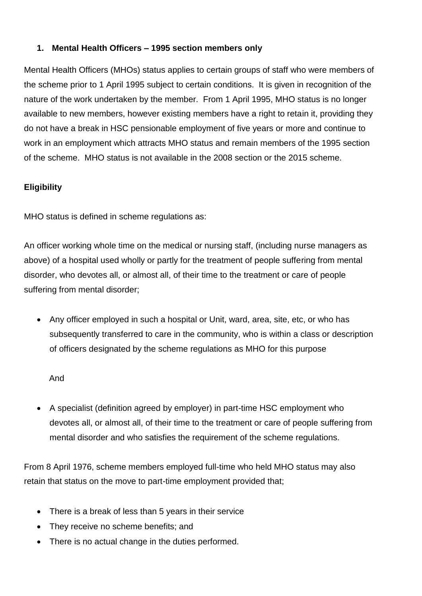# **1. Mental Health Officers – 1995 section members only**

Mental Health Officers (MHOs) status applies to certain groups of staff who were members of the scheme prior to 1 April 1995 subject to certain conditions. It is given in recognition of the nature of the work undertaken by the member. From 1 April 1995, MHO status is no longer available to new members, however existing members have a right to retain it, providing they do not have a break in HSC pensionable employment of five years or more and continue to work in an employment which attracts MHO status and remain members of the 1995 section of the scheme. MHO status is not available in the 2008 section or the 2015 scheme.

# **Eligibility**

MHO status is defined in scheme regulations as:

An officer working whole time on the medical or nursing staff, (including nurse managers as above) of a hospital used wholly or partly for the treatment of people suffering from mental disorder, who devotes all, or almost all, of their time to the treatment or care of people suffering from mental disorder;

 Any officer employed in such a hospital or Unit, ward, area, site, etc, or who has subsequently transferred to care in the community, who is within a class or description of officers designated by the scheme regulations as MHO for this purpose

And

 A specialist (definition agreed by employer) in part-time HSC employment who devotes all, or almost all, of their time to the treatment or care of people suffering from mental disorder and who satisfies the requirement of the scheme regulations.

From 8 April 1976, scheme members employed full-time who held MHO status may also retain that status on the move to part-time employment provided that;

- There is a break of less than 5 years in their service
- They receive no scheme benefits; and
- There is no actual change in the duties performed.